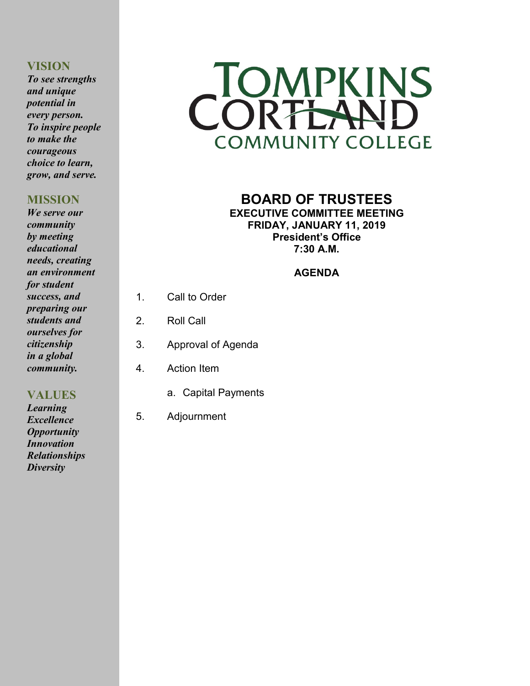## **VISION**

*To see strengths and unique potential in every person. To inspire people to make the courageous choice to learn, grow, and serve.*

# **MISSION**

*We serve our community by meeting educational needs, creating an environment for student success, and preparing our students and ourselves for citizenship in a global community.*

**VALUES** *Learning Excellence Opportunity Innovation Relationships Diversity*



## **BOARD OF TRUSTEES EXECUTIVE COMMITTEE MEETING FRIDAY, JANUARY 11, 2019 President's Office 7:30 A.M.**

# **AGENDA**

- 1. Call to Order
- 2. Roll Call
- 3. Approval of Agenda
- 4. Action Item
	- a. Capital Payments
- 5. Adjournment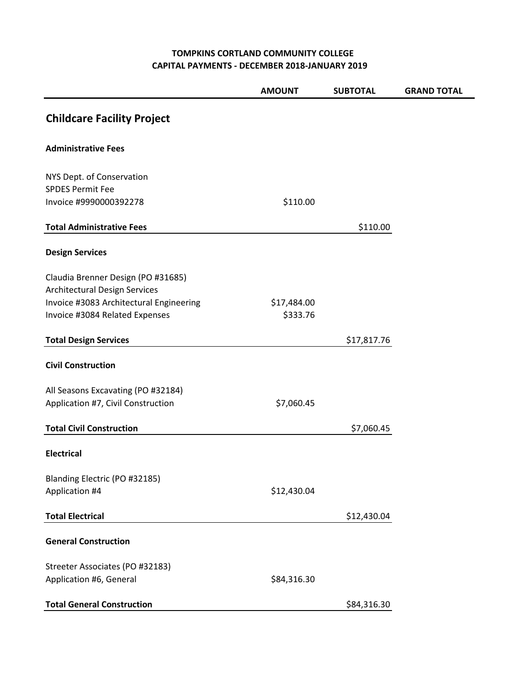#### **TOMPKINS CORTLAND COMMUNITY COLLEGE CAPITAL PAYMENTS - DECEMBER 2018-JANUARY 2019**

|                                                                            | <b>AMOUNT</b> | <b>SUBTOTAL</b> | <b>GRAND TOTAL</b> |
|----------------------------------------------------------------------------|---------------|-----------------|--------------------|
| <b>Childcare Facility Project</b>                                          |               |                 |                    |
| <b>Administrative Fees</b>                                                 |               |                 |                    |
| NYS Dept. of Conservation                                                  |               |                 |                    |
| <b>SPDES Permit Fee</b><br>Invoice #9990000392278                          | \$110.00      |                 |                    |
|                                                                            |               |                 |                    |
| <b>Total Administrative Fees</b>                                           |               | \$110.00        |                    |
| <b>Design Services</b>                                                     |               |                 |                    |
| Claudia Brenner Design (PO #31685)<br><b>Architectural Design Services</b> |               |                 |                    |
| Invoice #3083 Architectural Engineering                                    | \$17,484.00   |                 |                    |
| Invoice #3084 Related Expenses                                             | \$333.76      |                 |                    |
| <b>Total Design Services</b>                                               |               | \$17,817.76     |                    |
| <b>Civil Construction</b>                                                  |               |                 |                    |
| All Seasons Excavating (PO #32184)                                         |               |                 |                    |
| Application #7, Civil Construction                                         | \$7,060.45    |                 |                    |
| <b>Total Civil Construction</b>                                            |               | \$7,060.45      |                    |
| <b>Electrical</b>                                                          |               |                 |                    |
| Blanding Electric (PO #32185)                                              |               |                 |                    |
| Application #4                                                             | \$12,430.04   |                 |                    |
| <b>Total Electrical</b>                                                    |               | \$12,430.04     |                    |
| <b>General Construction</b>                                                |               |                 |                    |
| Streeter Associates (PO #32183)                                            |               |                 |                    |
| Application #6, General                                                    | \$84,316.30   |                 |                    |
| <b>Total General Construction</b>                                          |               | \$84,316.30     |                    |